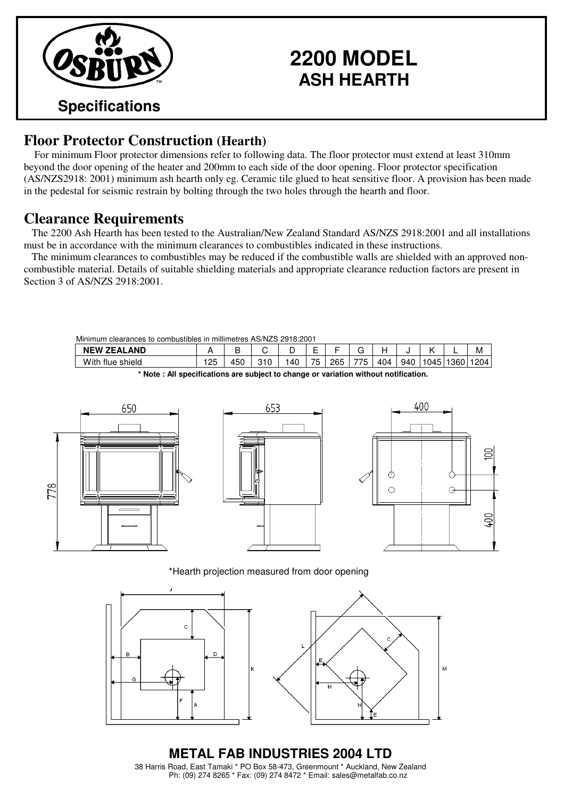

## **2200 MODEL ASH HEARTH**

#### **Floor Protector Construction (Hearth)**

For minimum Floor protector dimensions refer to following data. The floor protector must extend at least 310mm beyond the door opening of the heater and 200mm to each side of the door opening. Floor protector specification (AS/NZS2918: 2001) minimum ash hearth only eg. Ceramic tile glued to heat sensitive floor. A provision has been made in the pedestal for seismic restrain by bolting through the two holes through the hearth and floor.

#### **Clearance Requirements**

The 2200 Ash Hearth has been tested to the Australian/New Zealand Standard AS/NZS 2918:2001 and all installations must be in accordance with the minimum clearances to combustibles indicated in these instructions.

The minimum clearances to combustibles may be reduced if the combustible walls are shielded with an approved noncombustible material. Details of suitable shielding materials and appropriate clearance reduction factors are present in Section 3 of AS/NZS 2918:2001.

| Minimum<br>clearances to combustibles in millimetres AS/NZS 2918:2001 |    |     |  |     |    |     |     |     |     |      |         |      |
|-----------------------------------------------------------------------|----|-----|--|-----|----|-----|-----|-----|-----|------|---------|------|
| <b>NEW ZEALAND</b>                                                    |    |     |  |     |    |     | ີ   |     |     |      | -       | М    |
| With flue shield                                                      | 25 | 450 |  | .40 | 75 | 265 | 775 | 404 | 940 | 1045 | `∃1360⊥ | 1204 |

**\* Note : All specifications are subject to change or variation without notification.**



\*Hearth projection measured from door opening



**METAL FAB INDUSTRIES 2004 LTD** 38 Harris Road, East Tamaki \* PO Box 58-473, Greenmount \* Auckland, New Zealand Ph: (09) 274 8265 \* Fax: (09) 274 8472 \* Email: sales@metalfab.co.nz